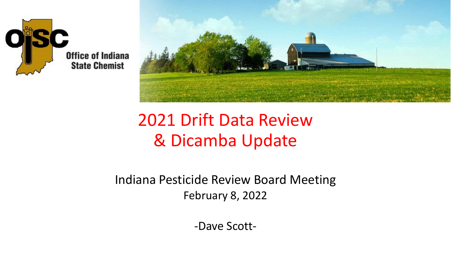



### 2021 Drift Data Review & Dicamba Update

Indiana Pesticide Review Board Meeting February 8, 2022

-Dave Scott-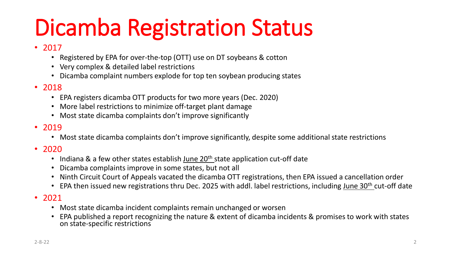# Dicamba Registration Status

#### • 2017

- Registered by EPA for over-the-top (OTT) use on DT soybeans & cotton
- Very complex & detailed label restrictions
- Dicamba complaint numbers explode for top ten soybean producing states

#### • 2018

- EPA registers dicamba OTT products for two more years (Dec. 2020)
- More label restrictions to minimize off-target plant damage
- Most state dicamba complaints don't improve significantly

#### • 2019

- Most state dicamba complaints don't improve significantly, despite some additional state restrictions
- 2020
	- Indiana & a few other states establish June  $20<sup>th</sup>$  state application cut-off date
	- Dicamba complaints improve in some states, but not all
	- Ninth Circuit Court of Appeals vacated the dicamba OTT registrations, then EPA issued a cancellation order
	- EPA then issued new registrations thru Dec. 2025 with addl. label restrictions, including June 30<sup>th</sup> cut-off date
- 2021
	- Most state dicamba incident complaints remain unchanged or worsen
	- EPA published a report recognizing the nature & extent of dicamba incidents & promises to work with states on state-specific restrictions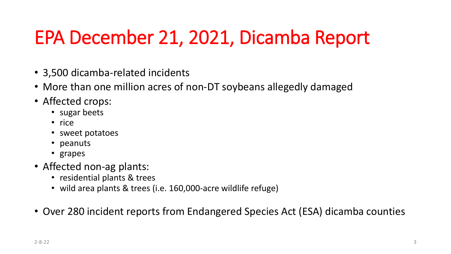## EPA December 21, 2021, Dicamba Report

- 3,500 dicamba-related incidents
- More than one million acres of non-DT soybeans allegedly damaged
- Affected crops:
	- sugar beets
	- rice
	- sweet potatoes
	- peanuts
	- grapes
- Affected non-ag plants:
	- residential plants & trees
	- wild area plants & trees (i.e. 160,000-acre wildlife refuge)
- Over 280 incident reports from Endangered Species Act (ESA) dicamba counties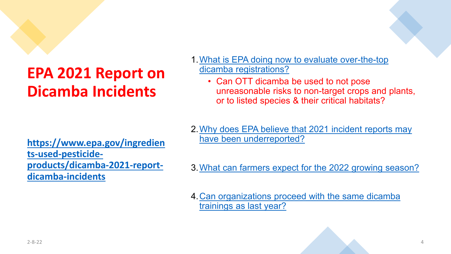### **EPA 2021 Report on Dicamba Incidents**

**https://www.epa.gov/ingredien ts-used-pesticide[products/dicamba-2021-report](https://www.epa.gov/ingredients-used-pesticide-products/dicamba-2021-report-dicamba-incidents)dicamba-incidents**

- [1.What is EPA doing now to evaluate over-the-top](https://www.epa.gov/ingredients-used-pesticide-products/dicamba-2021-report-dicamba-incidents#over-the-top)  dicamba registrations?
	- Can OTT dicamba be used to not pose unreasonable risks to non-target crops and plants, or to listed species & their critical habitats?
- [2.Why does EPA believe that 2021 incident reports may](https://www.epa.gov/ingredients-used-pesticide-products/dicamba-2021-report-dicamba-incidents#believe)  have been underreported?
- [3.What can farmers expect for the 2022 growing season?](https://www.epa.gov/ingredients-used-pesticide-products/dicamba-2021-report-dicamba-incidents#expect)
- [4.Can organizations proceed with the same dicamba](https://www.epa.gov/ingredients-used-pesticide-products/dicamba-2021-report-dicamba-incidents#proceed) trainings as last year?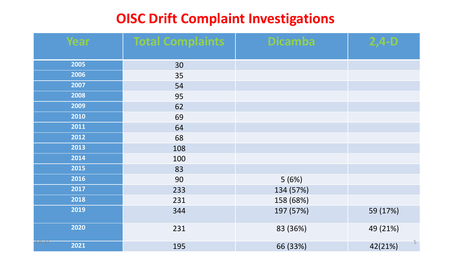### **OISC Drift Complaint Investigations**

| Year           | <b>Total Complaints</b> | <b>Dicamba</b> | $2,4-$ D     |
|----------------|-------------------------|----------------|--------------|
| 2005           | 30                      |                |              |
| 2006           | 35                      |                |              |
| 2007           | 54                      |                |              |
| 2008           | 95                      |                |              |
| 2009           | 62                      |                |              |
| 2010           | 69                      |                |              |
| 2011           | 64                      |                |              |
| 2012           | 68                      |                |              |
| 2013           | 108                     |                |              |
| 2014           | 100                     |                |              |
| 2015           | 83                      |                |              |
| 2016           | 90                      | 5(6%)          |              |
| 2017           | 233                     | 134 (57%)      |              |
| 2018           | 231                     | 158 (68%)      |              |
| 2019           | 344                     | 197 (57%)      | 59 (17%)     |
| 2020           | 231                     | 83 (36%)       | 49 (21%)     |
| 2-8-22<br>2021 | 195                     | 66 (33%)       | 5<br>42(21%) |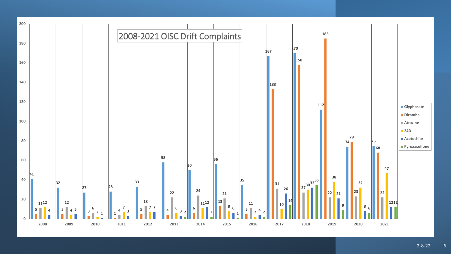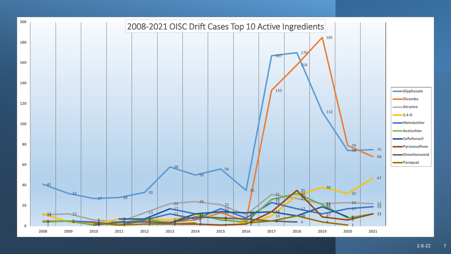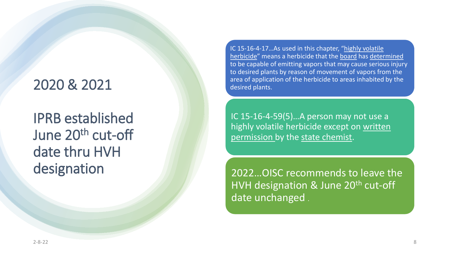### 2020 & 2021

IPRB established June 20<sup>th</sup> cut-off date thru HVH designation

IC 15-16-4-17…As used in this chapter, "highly volatile herbicide" means a herbicide that the board has determined to be capable of emitting vapors that may cause serious injury to desired plants by reason of movement of vapors from the area of application of the herbicide to areas inhabited by the desired plants.

IC 15-16-4-59(5)…A person may not use a highly volatile herbicide except on written permission by the state chemist.

2022…OISC recommends to leave the HVH designation & June  $20<sup>th</sup>$  cut-off date unchanged .